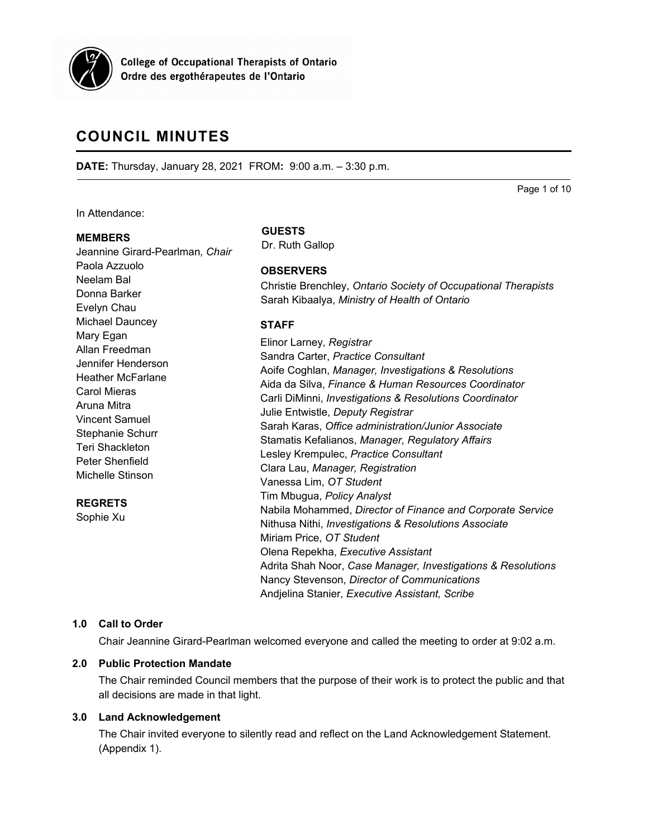

**College of Occupational Therapists of Ontario** Ordre des ergothérapeutes de l'Ontario

# **COUNCIL MINUTES**

**DATE:** Thursday, January 28, 2021 FROM**:** 9:00 a.m. – 3:30 p.m.

Page 1 of 10

In Attendance:

#### **MEMBERS**

## Jeannine Girard-Pearlman*, Chair* Paola Azzuolo Neelam Bal Donna Barker Evelyn Chau Michael Dauncey Mary Egan Allan Freedman Jennifer Henderson Heather McFarlane Carol Mieras Aruna Mitra Vincent Samuel Stephanie Schurr Teri Shackleton Peter Shenfield Michelle Stinson **REGRETS**

Sophie Xu

#### **GUESTS**

Dr. Ruth Gallop

## **OBSERVERS**

Christie Brenchley, *Ontario Society of Occupational Therapists* Sarah Kibaalya, *Ministry of Health of Ontario*

## **STAFF**

| Elinor Larney, Registrar                                     |
|--------------------------------------------------------------|
| Sandra Carter, Practice Consultant                           |
| Aoife Coghlan, Manager, Investigations & Resolutions         |
| Aida da Silva, Finance & Human Resources Coordinator         |
| Carli DiMinni, Investigations & Resolutions Coordinator      |
| Julie Entwistle, Deputy Registrar                            |
| Sarah Karas, Office administration/Junior Associate          |
| Stamatis Kefalianos, Manager, Regulatory Affairs             |
| Lesley Krempulec, Practice Consultant                        |
| Clara Lau, Manager, Registration                             |
| Vanessa Lim, OT Student                                      |
| Tim Mbugua, Policy Analyst                                   |
| Nabila Mohammed, Director of Finance and Corporate Service   |
| Nithusa Nithi, Investigations & Resolutions Associate        |
| Miriam Price, OT Student                                     |
| Olena Repekha, Executive Assistant                           |
| Adrita Shah Noor, Case Manager, Investigations & Resolutions |
| Nancy Stevenson, Director of Communications                  |
| Andjelina Stanier, Executive Assistant, Scribe               |

## **1.0 Call to Order**

Chair Jeannine Girard-Pearlman welcomed everyone and called the meeting to order at 9:02 a.m.

## **2.0 Public Protection Mandate**

The Chair reminded Council members that the purpose of their work is to protect the public and that all decisions are made in that light.

## **3.0 Land Acknowledgement**

The Chair invited everyone to silently read and reflect on the Land Acknowledgement Statement. (Appendix 1).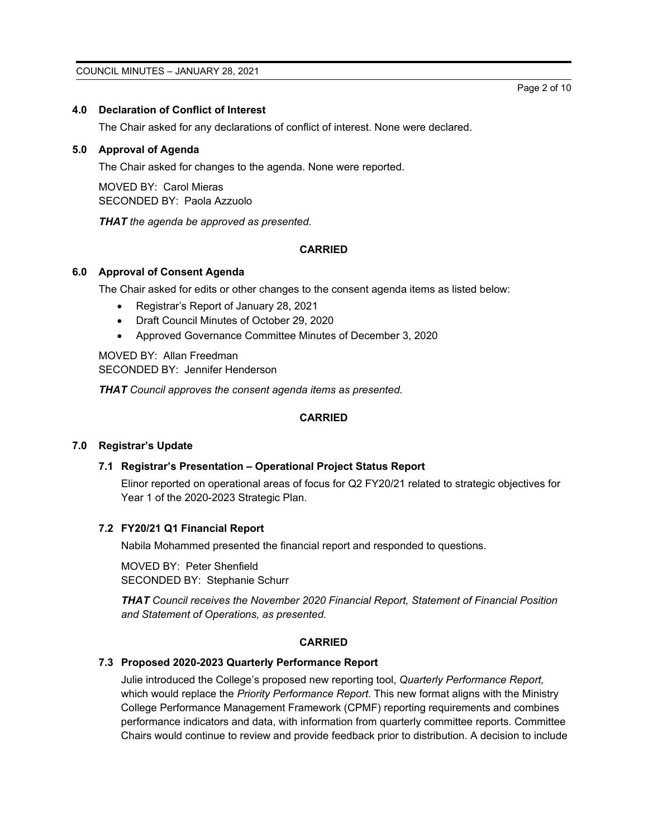## **4.0 Declaration of Conflict of Interest**

The Chair asked for any declarations of conflict of interest. None were declared.

## **5.0 Approval of Agenda**

The Chair asked for changes to the agenda. None were reported.

MOVED BY: Carol Mieras SECONDED BY: Paola Azzuolo

*THAT the agenda be approved as presented.*

## **CARRIED**

## **6.0 Approval of Consent Agenda**

The Chair asked for edits or other changes to the consent agenda items as listed below:

- Registrar's Report of January 28, 2021
- Draft Council Minutes of October 29, 2020
- Approved Governance Committee Minutes of December 3, 2020

MOVED BY: Allan Freedman SECONDED BY: Jennifer Henderson

*THAT Council approves the consent agenda items as presented.*

## **CARRIED**

## **7.0 Registrar's Update**

## **7.1 Registrar's Presentation – Operational Project Status Report**

Elinor reported on operational areas of focus for Q2 FY20/21 related to strategic objectives for Year 1 of the 2020-2023 Strategic Plan.

## **7.2 FY20/21 Q1 Financial Report**

Nabila Mohammed presented the financial report and responded to questions.

MOVED BY: Peter Shenfield SECONDED BY: Stephanie Schurr

*THAT Council receives the November 2020 Financial Report, Statement of Financial Position and Statement of Operations, as presented.*

#### **CARRIED**

## **7.3 Proposed 2020-2023 Quarterly Performance Report**

Julie introduced the College's proposed new reporting tool, *Quarterly Performance Report,* which would replace the *Priority Performance Report*. This new format aligns with the Ministry College Performance Management Framework (CPMF) reporting requirements and combines performance indicators and data, with information from quarterly committee reports. Committee Chairs would continue to review and provide feedback prior to distribution. A decision to include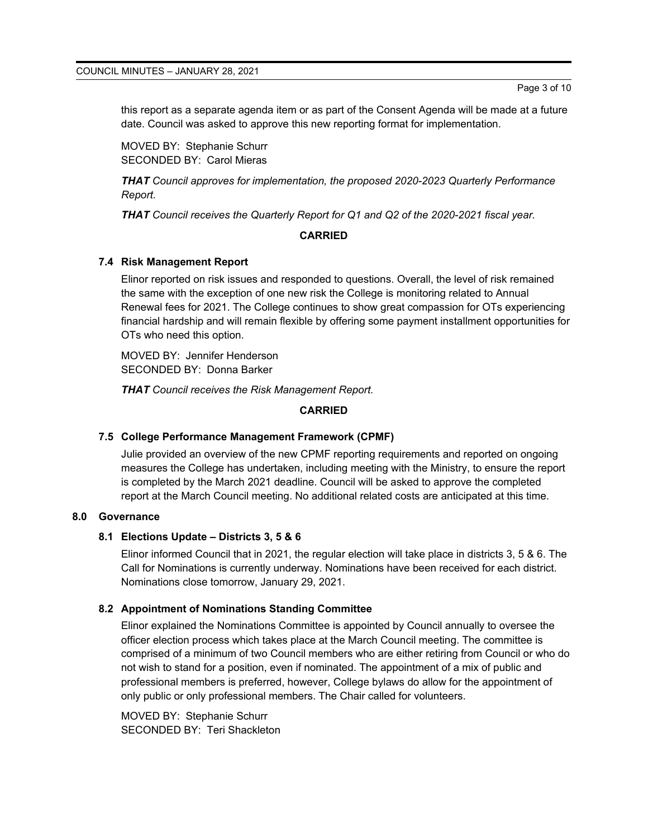this report as a separate agenda item or as part of the Consent Agenda will be made at a future date. Council was asked to approve this new reporting format for implementation.

MOVED BY: Stephanie Schurr SECONDED BY: Carol Mieras

*THAT Council approves for implementation, the proposed 2020-2023 Quarterly Performance Report.*

*THAT Council receives the Quarterly Report for Q1 and Q2 of the 2020-2021 fiscal year.*

#### **CARRIED**

#### **7.4 Risk Management Report**

Elinor reported on risk issues and responded to questions. Overall, the level of risk remained the same with the exception of one new risk the College is monitoring related to Annual Renewal fees for 2021. The College continues to show great compassion for OTs experiencing financial hardship and will remain flexible by offering some payment installment opportunities for OTs who need this option.

MOVED BY: Jennifer Henderson SECONDED BY: Donna Barker

*THAT Council receives the Risk Management Report.*

#### **CARRIED**

#### **7.5 College Performance Management Framework (CPMF)**

Julie provided an overview of the new CPMF reporting requirements and reported on ongoing measures the College has undertaken, including meeting with the Ministry, to ensure the report is completed by the March 2021 deadline. Council will be asked to approve the completed report at the March Council meeting. No additional related costs are anticipated at this time.

## **8.0 Governance**

#### **8.1 Elections Update – Districts 3, 5 & 6**

Elinor informed Council that in 2021, the regular election will take place in districts 3, 5 & 6. The Call for Nominations is currently underway. Nominations have been received for each district. Nominations close tomorrow, January 29, 2021.

## **8.2 Appointment of Nominations Standing Committee**

Elinor explained the Nominations Committee is appointed by Council annually to oversee the officer election process which takes place at the March Council meeting. The committee is comprised of a minimum of two Council members who are either retiring from Council or who do not wish to stand for a position, even if nominated. The appointment of a mix of public and professional members is preferred, however, College bylaws do allow for the appointment of only public or only professional members. The Chair called for volunteers.

MOVED BY: Stephanie Schurr SECONDED BY: Teri Shackleton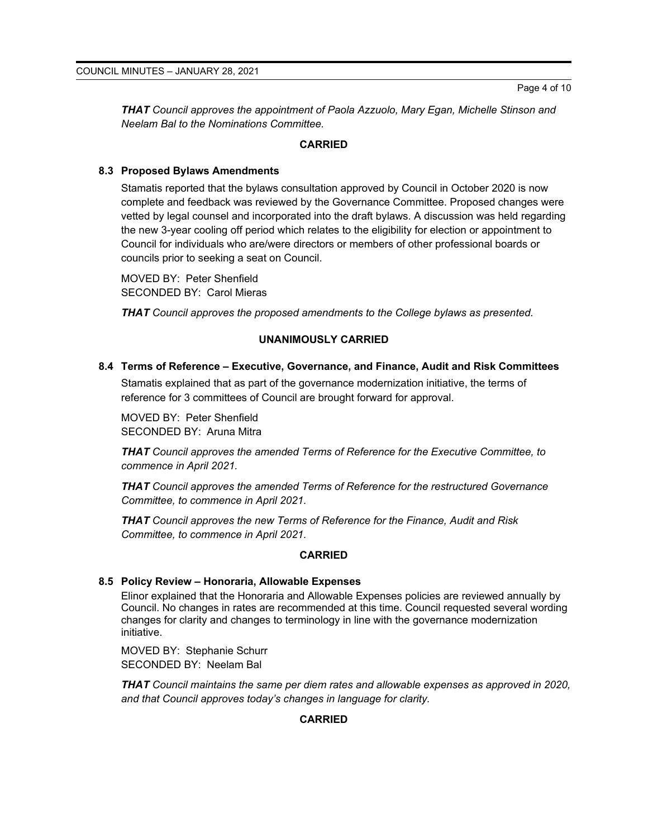*THAT Council approves the appointment of Paola Azzuolo, Mary Egan, Michelle Stinson and Neelam Bal to the Nominations Committee.*

#### **CARRIED**

## **8.3 Proposed Bylaws Amendments**

Stamatis reported that the bylaws consultation approved by Council in October 2020 is now complete and feedback was reviewed by the Governance Committee. Proposed changes were vetted by legal counsel and incorporated into the draft bylaws. A discussion was held regarding the new 3-year cooling off period which relates to the eligibility for election or appointment to Council for individuals who are/were directors or members of other professional boards or councils prior to seeking a seat on Council.

MOVED BY: Peter Shenfield SECONDED BY: Carol Mieras

*THAT Council approves the proposed amendments to the College bylaws as presented.*

## **UNANIMOUSLY CARRIED**

#### **8.4 Terms of Reference – Executive, Governance, and Finance, Audit and Risk Committees**

Stamatis explained that as part of the governance modernization initiative, the terms of reference for 3 committees of Council are brought forward for approval.

MOVED BY: Peter Shenfield SECONDED BY: Aruna Mitra

*THAT Council approves the amended Terms of Reference for the Executive Committee, to commence in April 2021.*

*THAT Council approves the amended Terms of Reference for the restructured Governance Committee, to commence in April 2021.*

*THAT Council approves the new Terms of Reference for the Finance, Audit and Risk Committee, to commence in April 2021.*

## **CARRIED**

## **8.5 Policy Review – Honoraria, Allowable Expenses**

Elinor explained that the Honoraria and Allowable Expenses policies are reviewed annually by Council. No changes in rates are recommended at this time. Council requested several wording changes for clarity and changes to terminology in line with the governance modernization initiative.

MOVED BY: Stephanie Schurr SECONDED BY: Neelam Bal

*THAT Council maintains the same per diem rates and allowable expenses as approved in 2020, and that Council approves today's changes in language for clarity.*

## **CARRIED**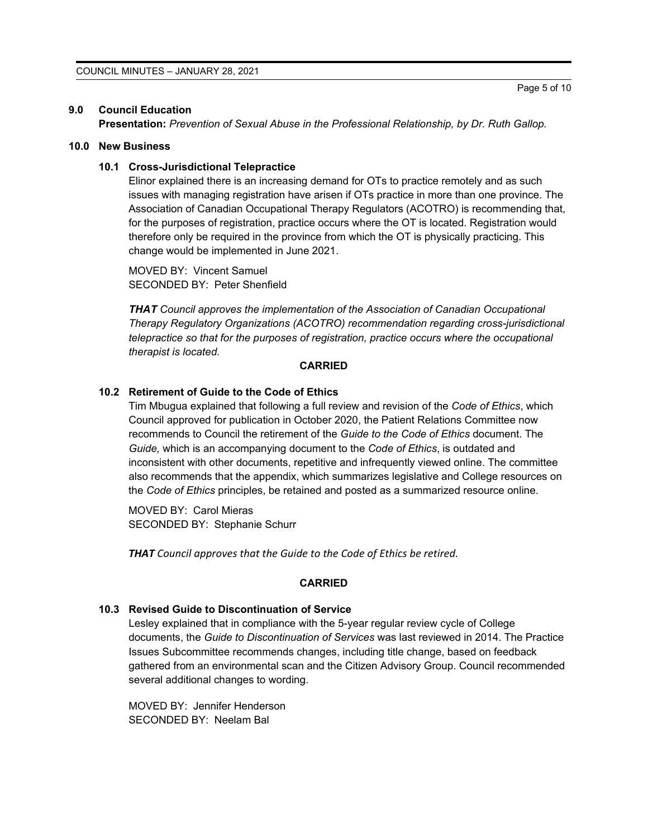#### **9.0 Council Education**

**Presentation:** *Prevention of Sexual Abuse in the Professional Relationship, by Dr. Ruth Gallop.*

## **10.0 New Business**

#### **10.1 Cross-Jurisdictional Telepractice**

Elinor explained there is an increasing demand for OTs to practice remotely and as such issues with managing registration have arisen if OTs practice in more than one province. The Association of Canadian Occupational Therapy Regulators (ACOTRO) is recommending that, for the purposes of registration, practice occurs where the OT is located. Registration would therefore only be required in the province from which the OT is physically practicing. This change would be implemented in June 2021.

MOVED BY: Vincent Samuel SECONDED BY: Peter Shenfield

*THAT Council approves the implementation of the Association of Canadian Occupational Therapy Regulatory Organizations (ACOTRO) recommendation regarding cross-jurisdictional telepractice so that for the purposes of registration, practice occurs where the occupational therapist is located.*

#### **CARRIED**

#### **10.2 Retirement of Guide to the Code of Ethics**

Tim Mbugua explained that following a full review and revision of the *Code of Ethics*, which Council approved for publication in October 2020, the Patient Relations Committee now recommends to Council the retirement of the *Guide to the Code of Ethics* document. The *Guide,* which is an accompanying document to the *Code of Ethics*, is outdated and inconsistent with other documents, repetitive and infrequently viewed online. The committee also recommends that the appendix, which summarizes legislative and College resources on the *Code of Ethics* principles, be retained and posted as a summarized resource online.

MOVED BY: Carol Mieras SECONDED BY: Stephanie Schurr

*THAT Council approves that the Guide to the Code of Ethics be retired.*

#### **CARRIED**

#### **10.3 Revised Guide to Discontinuation of Service**

Lesley explained that in compliance with the 5-year regular review cycle of College documents, the *Guide to Discontinuation of Services* was last reviewed in 2014. The Practice Issues Subcommittee recommends changes, including title change, based on feedback gathered from an environmental scan and the Citizen Advisory Group. Council recommended several additional changes to wording.

MOVED BY: Jennifer Henderson SECONDED BY: Neelam Bal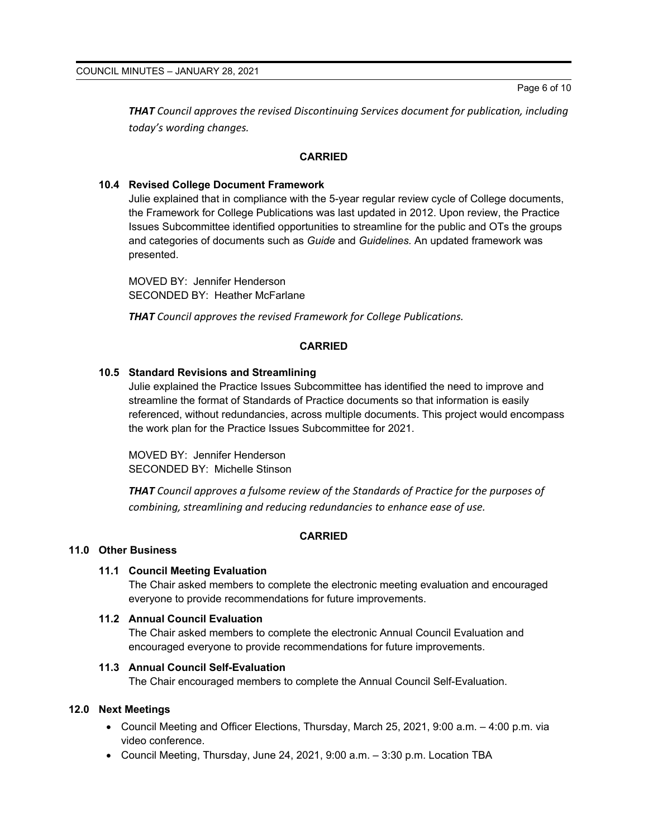*THAT Council approves the revised Discontinuing Services document for publication, including today's wording changes.*

## **CARRIED**

## **10.4 Revised College Document Framework**

Julie explained that in compliance with the 5-year regular review cycle of College documents, the Framework for College Publications was last updated in 2012. Upon review, the Practice Issues Subcommittee identified opportunities to streamline for the public and OTs the groups and categories of documents such as *Guide* and *Guidelines.* An updated framework was presented.

MOVED BY: Jennifer Henderson SECONDED BY: Heather McFarlane

*THAT Council approves the revised Framework for College Publications.*

## **CARRIED**

## **10.5 Standard Revisions and Streamlining**

Julie explained the Practice Issues Subcommittee has identified the need to improve and streamline the format of Standards of Practice documents so that information is easily referenced, without redundancies, across multiple documents. This project would encompass the work plan for the Practice Issues Subcommittee for 2021.

MOVED BY: Jennifer Henderson SECONDED BY: Michelle Stinson

*THAT Council approves a fulsome review of the Standards of Practice for the purposes of combining, streamlining and reducing redundancies to enhance ease of use.*

#### **CARRIED**

#### **11.0 Other Business**

#### **11.1 Council Meeting Evaluation**

The Chair asked members to complete the electronic meeting evaluation and encouraged everyone to provide recommendations for future improvements.

#### **11.2 Annual Council Evaluation**

The Chair asked members to complete the electronic Annual Council Evaluation and encouraged everyone to provide recommendations for future improvements.

## **11.3 Annual Council Self-Evaluation**

The Chair encouraged members to complete the Annual Council Self-Evaluation.

## **12.0 Next Meetings**

- Council Meeting and Officer Elections, Thursday, March 25, 2021, 9:00 a.m. 4:00 p.m. via video conference.
- Council Meeting, Thursday, June 24, 2021, 9:00 a.m. 3:30 p.m. Location TBA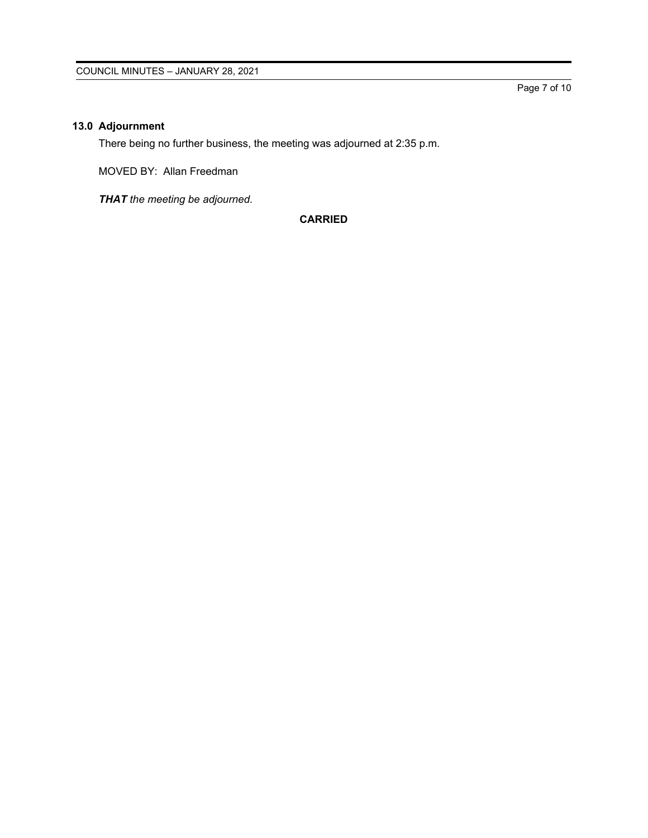## **13.0 Adjournment**

There being no further business, the meeting was adjourned at 2:35 p.m.

MOVED BY: Allan Freedman

*THAT the meeting be adjourned.*

**CARRIED**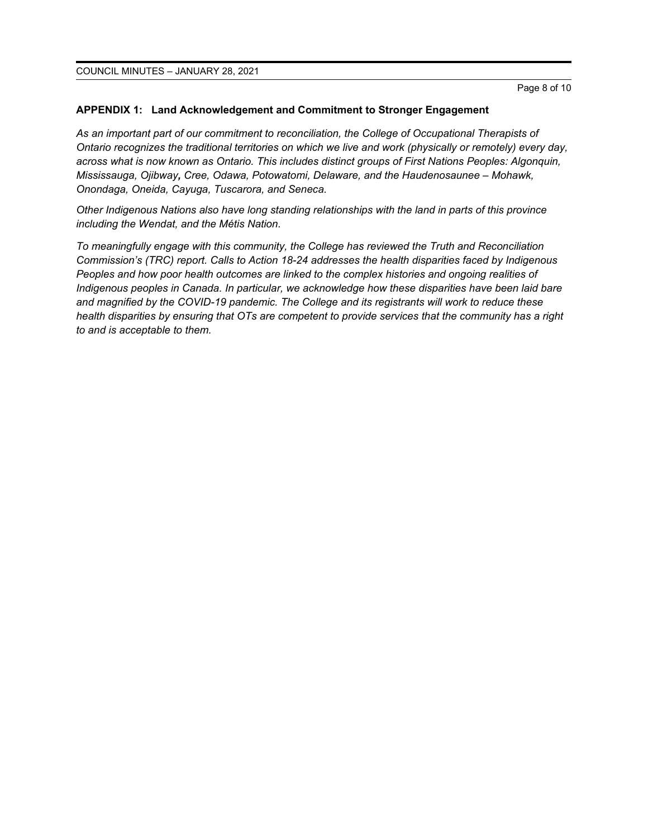COUNCIL MINUTES – JANUARY 28, 2021

#### **APPENDIX 1: Land Acknowledgement and Commitment to Stronger Engagement**

*As an important part of our commitment to reconciliation, the College of Occupational Therapists of Ontario recognizes the traditional territories on which we live and work (physically or remotely) every day, across what is now known as Ontario. This includes distinct groups of First Nations Peoples: Algonquin, Mississauga, Ojibway, Cree, Odawa, Potowatomi, Delaware, and the Haudenosaunee – Mohawk, Onondaga, Oneida, Cayuga, Tuscarora, and Seneca.* 

*Other Indigenous Nations also have long standing relationships with the land in parts of this province including the Wendat, and the Métis Nation.* 

*To meaningfully engage with this community, the College has reviewed the Truth and Reconciliation Commission's (TRC) report. Calls to Action 18-24 addresses the health disparities faced by Indigenous Peoples and how poor health outcomes are linked to the complex histories and ongoing realities of Indigenous peoples in Canada. In particular, we acknowledge how these disparities have been laid bare and magnified by the COVID-19 pandemic. The College and its registrants will work to reduce these health disparities by ensuring that OTs are competent to provide services that the community has a right to and is acceptable to them.*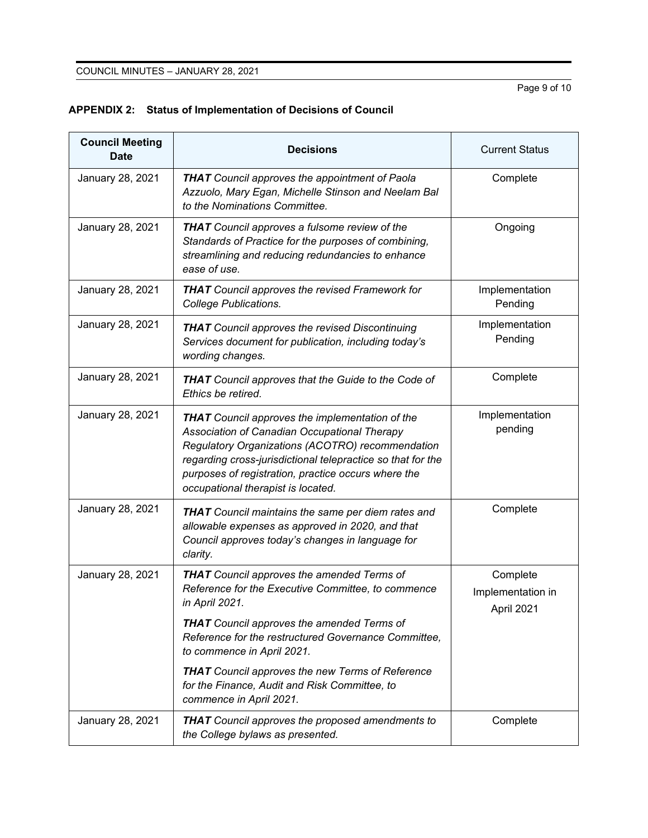Page 9 of 10

| <b>Council Meeting</b><br><b>Date</b> | <b>Decisions</b>                                                                                                                                                                                                                                                                                                       | <b>Current Status</b>                       |
|---------------------------------------|------------------------------------------------------------------------------------------------------------------------------------------------------------------------------------------------------------------------------------------------------------------------------------------------------------------------|---------------------------------------------|
| January 28, 2021                      | <b>THAT</b> Council approves the appointment of Paola<br>Azzuolo, Mary Egan, Michelle Stinson and Neelam Bal<br>to the Nominations Committee.                                                                                                                                                                          | Complete                                    |
| January 28, 2021                      | <b>THAT</b> Council approves a fulsome review of the<br>Standards of Practice for the purposes of combining,<br>streamlining and reducing redundancies to enhance<br>ease of use.                                                                                                                                      | Ongoing                                     |
| January 28, 2021                      | <b>THAT</b> Council approves the revised Framework for<br><b>College Publications.</b>                                                                                                                                                                                                                                 | Implementation<br>Pending                   |
| January 28, 2021                      | <b>THAT</b> Council approves the revised Discontinuing<br>Services document for publication, including today's<br>wording changes.                                                                                                                                                                                     | Implementation<br>Pending                   |
| January 28, 2021                      | <b>THAT</b> Council approves that the Guide to the Code of<br>Ethics be retired.                                                                                                                                                                                                                                       | Complete                                    |
| January 28, 2021                      | <b>THAT</b> Council approves the implementation of the<br>Association of Canadian Occupational Therapy<br>Regulatory Organizations (ACOTRO) recommendation<br>regarding cross-jurisdictional telepractice so that for the<br>purposes of registration, practice occurs where the<br>occupational therapist is located. | Implementation<br>pending                   |
| January 28, 2021                      | <b>THAT</b> Council maintains the same per diem rates and<br>allowable expenses as approved in 2020, and that<br>Council approves today's changes in language for<br>clarity.                                                                                                                                          | Complete                                    |
| January 28, 2021                      | <b>THAT</b> Council approves the amended Terms of<br>Reference for the Executive Committee, to commence<br>in April 2021.                                                                                                                                                                                              | Complete<br>Implementation in<br>April 2021 |
|                                       | <b>THAT</b> Council approves the amended Terms of<br>Reference for the restructured Governance Committee,<br>to commence in April 2021.                                                                                                                                                                                |                                             |
|                                       | <b>THAT</b> Council approves the new Terms of Reference<br>for the Finance, Audit and Risk Committee, to<br>commence in April 2021.                                                                                                                                                                                    |                                             |
| January 28, 2021                      | <b>THAT</b> Council approves the proposed amendments to<br>the College bylaws as presented.                                                                                                                                                                                                                            | Complete                                    |

## **APPENDIX 2: Status of Implementation of Decisions of Council**